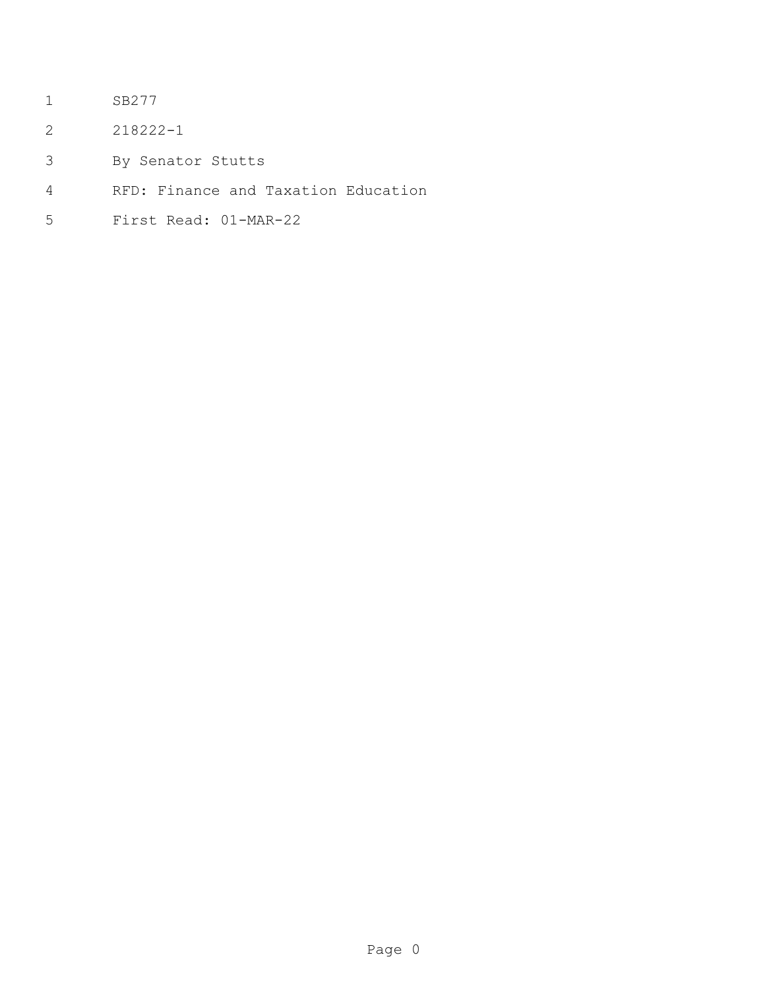- SB277
- 218222-1
- By Senator Stutts
- RFD: Finance and Taxation Education
- First Read: 01-MAR-22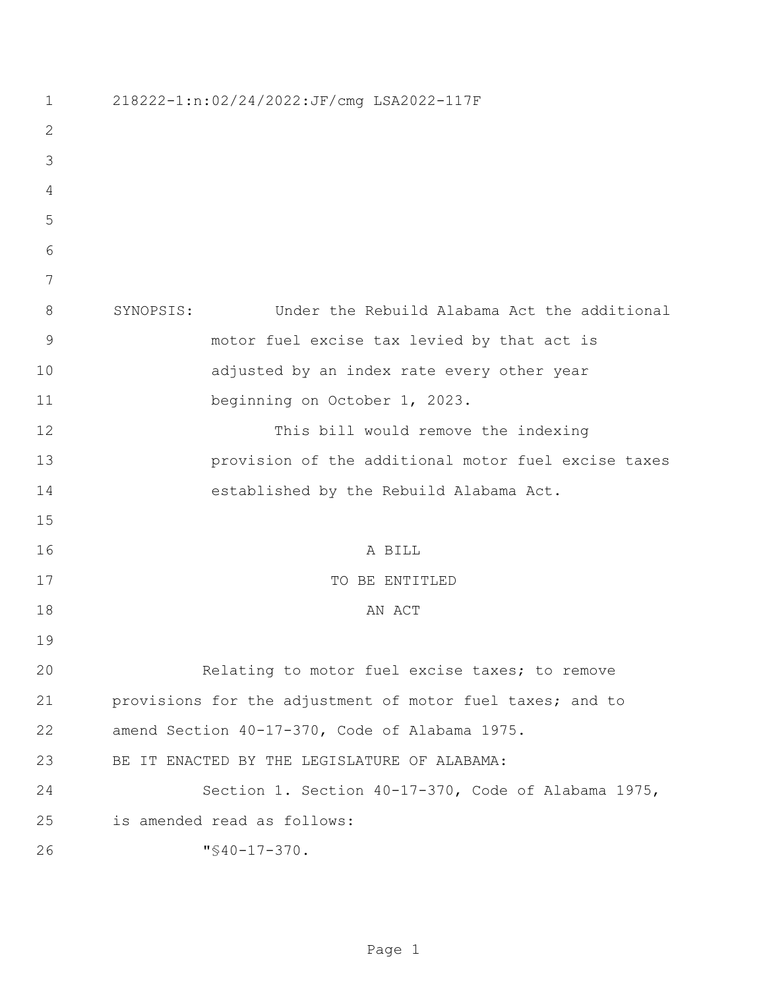| 1           | 218222-1:n:02/24/2022:JF/cmg LSA2022-117F                 |
|-------------|-----------------------------------------------------------|
| 2           |                                                           |
| 3           |                                                           |
| 4           |                                                           |
| 5           |                                                           |
| 6           |                                                           |
| 7           |                                                           |
| 8           | Under the Rebuild Alabama Act the additional<br>SYNOPSIS: |
| $\mathsf 9$ | motor fuel excise tax levied by that act is               |
| 10          | adjusted by an index rate every other year                |
| 11          | beginning on October 1, 2023.                             |
| 12          | This bill would remove the indexing                       |
| 13          | provision of the additional motor fuel excise taxes       |
| 14          | established by the Rebuild Alabama Act.                   |
| 15          |                                                           |
| 16          | A BILL                                                    |
| 17          | TO BE ENTITLED                                            |
| 18          | AN ACT                                                    |
| 19          |                                                           |
| 20          | Relating to motor fuel excise taxes; to remove            |
| 21          | provisions for the adjustment of motor fuel taxes; and to |
| 22          | amend Section 40-17-370, Code of Alabama 1975.            |
| 23          | BE IT ENACTED BY THE LEGISLATURE OF ALABAMA:              |
| 24          | Section 1. Section 40-17-370, Code of Alabama 1975,       |
| 25          | is amended read as follows:                               |
| 26          | $"$ \$40-17-370.                                          |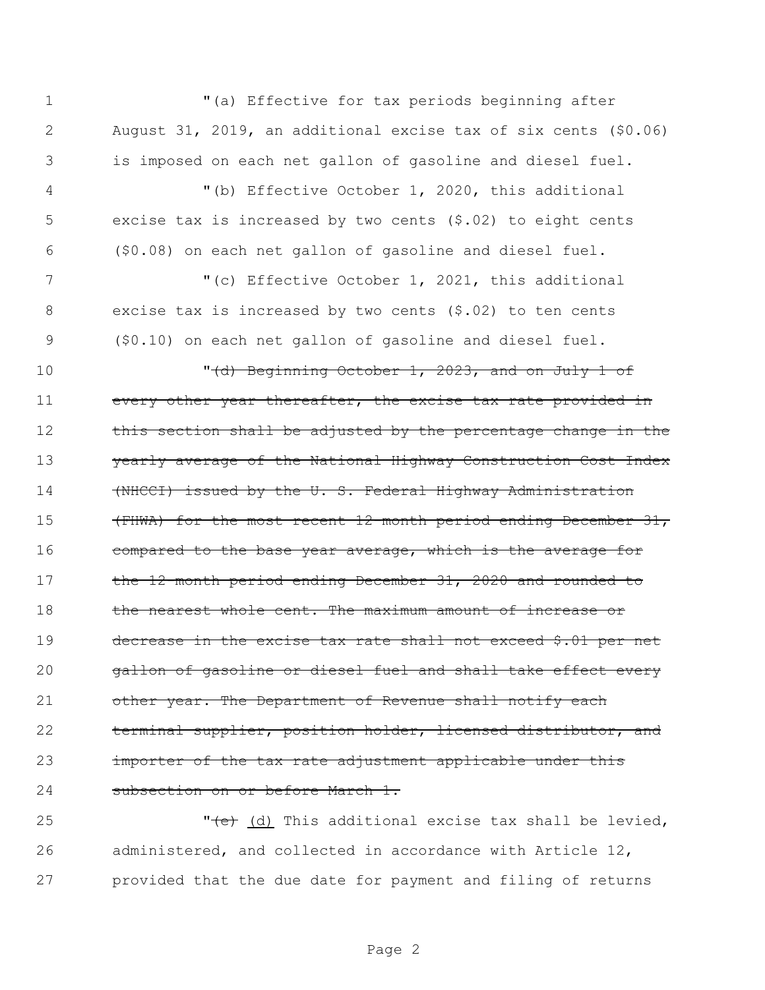1 "(a) Effective for tax periods beginning after 2 August 31, 2019, an additional excise tax of six cents (\$0.06) 3 is imposed on each net gallon of gasoline and diesel fuel. 4 "(b) Effective October 1, 2020, this additional 5 excise tax is increased by two cents (\$.02) to eight cents 6 (\$0.08) on each net gallon of gasoline and diesel fuel. 7 The Collective October 1, 2021, this additional 8 excise tax is increased by two cents (\$.02) to ten cents 9 (\$0.10) on each net gallon of gasoline and diesel fuel. 10  $\sqrt{(d)}$  Beginning October 1, 2023, and on July 1 of 11 every other year thereafter, the excise tax rate provided in 12 this section shall be adjusted by the percentage change in the 13 yearly average of the National Highway Construction Cost Index 14 (NHCCI) issued by the U.S. Federal Highway Administration 15 (FHWA) for the most recent 12-month period ending December 31, 16 compared to the base year average, which is the average for 17 the 12-month period ending December 31, 2020 and rounded to 18 the nearest whole cent. The maximum amount of increase or 19 decrease in the excise tax rate shall not exceed \$.01 per net 20 **gallon of gasoline or diesel fuel and shall take effect every** 21 other year. The Department of Revenue shall notify each 22 terminal supplier, position holder, licensed distributor, and 23 importer of the tax rate adjustment applicable under this 24 subsection on or before March 1.

25 "  $\left( \text{d} \right)$  This additional excise tax shall be levied, 26 administered, and collected in accordance with Article 12, 27 provided that the due date for payment and filing of returns